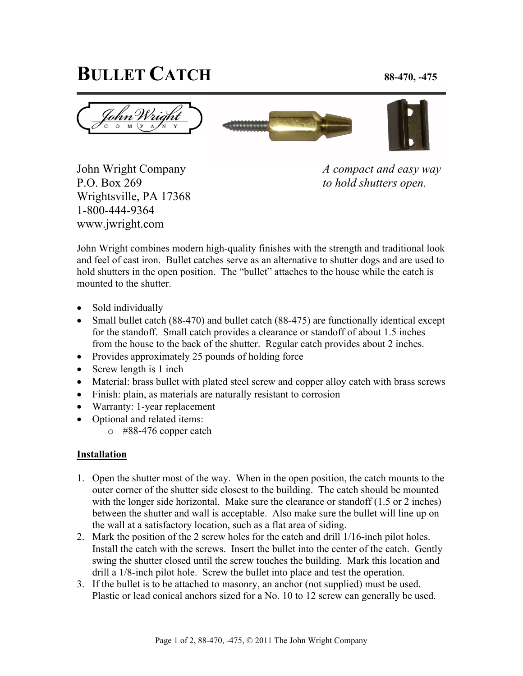## **BULLET CATCH 88-470, -475**







P.O. Box 269 *to hold shutters open.* Wrightsville, PA 17368 1-800-444-9364 www.jwright.com

John Wright Company *A compact and easy way* 

John Wright combines modern high-quality finishes with the strength and traditional look and feel of cast iron. Bullet catches serve as an alternative to shutter dogs and are used to hold shutters in the open position. The "bullet" attaches to the house while the catch is mounted to the shutter.

- Sold individually
- Small bullet catch (88-470) and bullet catch (88-475) are functionally identical except for the standoff. Small catch provides a clearance or standoff of about 1.5 inches from the house to the back of the shutter. Regular catch provides about 2 inches.
- Provides approximately 25 pounds of holding force
- Screw length is 1 inch
- Material: brass bullet with plated steel screw and copper alloy catch with brass screws
- Finish: plain, as materials are naturally resistant to corrosion
- Warranty: 1-year replacement
- Optional and related items:
	- o #88-476 copper catch

## **Installation**

- 1. Open the shutter most of the way. When in the open position, the catch mounts to the outer corner of the shutter side closest to the building. The catch should be mounted with the longer side horizontal. Make sure the clearance or standoff (1.5 or 2 inches) between the shutter and wall is acceptable. Also make sure the bullet will line up on the wall at a satisfactory location, such as a flat area of siding.
- 2. Mark the position of the 2 screw holes for the catch and drill 1/16-inch pilot holes. Install the catch with the screws. Insert the bullet into the center of the catch. Gently swing the shutter closed until the screw touches the building. Mark this location and drill a 1/8-inch pilot hole. Screw the bullet into place and test the operation.
- 3. If the bullet is to be attached to masonry, an anchor (not supplied) must be used. Plastic or lead conical anchors sized for a No. 10 to 12 screw can generally be used.